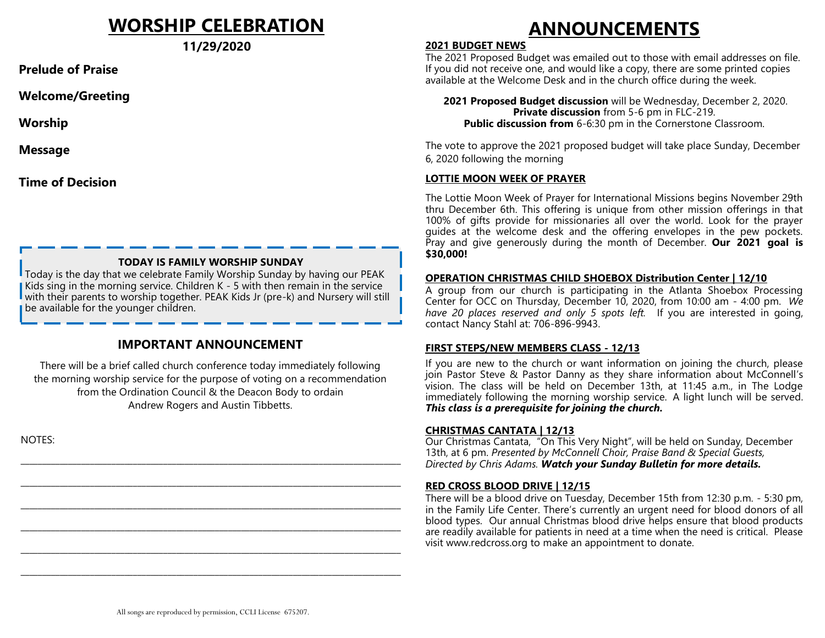## **WORSHIP CELEBRATION**

**11/29/2020** 

**Prelude of Praise**

**Welcome/Greeting**

**Worship**

**Message** 

**Time of Decision**

#### **TODAY IS FAMILY WORSHIP SUNDAY**

Today is the day that we celebrate Family Worship Sunday by having our PEAK Kids sing in the morning service. Children K - 5 with then remain in the service with their parents to worship together. PEAK Kids Jr (pre-k) and Nursery will still be available for the younger children.

#### **IMPORTANT ANNOUNCEMENT**

There will be a brief called church conference today immediately following the morning worship service for the purpose of voting on a recommendation from the Ordination Council & the Deacon Body to ordain Andrew Rogers and Austin Tibbetts.

\_\_\_\_\_\_\_\_\_\_\_\_\_\_\_\_\_\_\_\_\_\_\_\_\_\_\_\_\_\_\_\_\_\_\_\_\_\_\_\_\_\_\_\_\_\_\_\_\_\_\_\_\_\_\_\_\_\_\_\_\_\_\_\_\_\_\_\_\_\_\_\_\_\_\_\_\_\_\_\_\_\_\_\_\_\_\_\_

\_\_\_\_\_\_\_\_\_\_\_\_\_\_\_\_\_\_\_\_\_\_\_\_\_\_\_\_\_\_\_\_\_\_\_\_\_\_\_\_\_\_\_\_\_\_\_\_\_\_\_\_\_\_\_\_\_\_\_\_\_\_\_\_\_\_\_\_\_\_\_\_\_\_\_\_\_\_\_\_\_\_\_\_\_\_\_\_

\_\_\_\_\_\_\_\_\_\_\_\_\_\_\_\_\_\_\_\_\_\_\_\_\_\_\_\_\_\_\_\_\_\_\_\_\_\_\_\_\_\_\_\_\_\_\_\_\_\_\_\_\_\_\_\_\_\_\_\_\_\_\_\_\_\_\_\_\_\_\_\_\_\_\_\_\_\_\_\_\_\_\_\_\_\_\_\_

\_\_\_\_\_\_\_\_\_\_\_\_\_\_\_\_\_\_\_\_\_\_\_\_\_\_\_\_\_\_\_\_\_\_\_\_\_\_\_\_\_\_\_\_\_\_\_\_\_\_\_\_\_\_\_\_\_\_\_\_\_\_\_\_\_\_\_\_\_\_\_\_\_\_\_\_\_\_\_\_\_\_\_\_\_\_\_\_

\_\_\_\_\_\_\_\_\_\_\_\_\_\_\_\_\_\_\_\_\_\_\_\_\_\_\_\_\_\_\_\_\_\_\_\_\_\_\_\_\_\_\_\_\_\_\_\_\_\_\_\_\_\_\_\_\_\_\_\_\_\_\_\_\_\_\_\_\_\_\_\_\_\_\_\_\_\_\_\_\_\_\_\_\_\_\_\_

\_\_\_\_\_\_\_\_\_\_\_\_\_\_\_\_\_\_\_\_\_\_\_\_\_\_\_\_\_\_\_\_\_\_\_\_\_\_\_\_\_\_\_\_\_\_\_\_\_\_\_\_\_\_\_\_\_\_\_\_\_\_\_\_\_\_\_\_\_\_\_\_\_\_\_\_\_\_\_\_\_\_\_\_\_\_\_\_

NOTES:

# **ANNOUNCEMENTS**

#### **2021 BUDGET NEWS**

The 2021 Proposed Budget was emailed out to those with email addresses on file. If you did not receive one, and would like a copy, there are some printed copies available at the Welcome Desk and in the church office during the week.

**2021 Proposed Budget discussion** will be Wednesday, December 2, 2020. **Private discussion** from 5-6 pm in FLC-219. **Public discussion from** 6-6:30 pm in the Cornerstone Classroom.

The vote to approve the 2021 proposed budget will take place Sunday, December 6, 2020 following the morning

#### **LOTTIE MOON WEEK OF PRAYER**

The Lottie Moon Week of Prayer for International Missions begins November 29th thru December 6th. This offering is unique from other mission offerings in that 100% of gifts provide for missionaries all over the world. Look for the prayer guides at the welcome desk and the offering envelopes in the pew pockets. Pray and give generously during the month of December. **Our 2021 goal is \$30,000!**

#### **OPERATION CHRISTMAS CHILD SHOEBOX Distribution Center | 12/10**

A group from our church is participating in the Atlanta Shoebox Processing Center for OCC on Thursday, December 10, 2020, from 10:00 am - 4:00 pm. *We have 20 places reserved and only 5 spots left.* If you are interested in going, contact Nancy Stahl at: 706-896-9943.

#### **FIRST STEPS/NEW MEMBERS CLASS - 12/13**

If you are new to the church or want information on joining the church, please join Pastor Steve & Pastor Danny as they share information about McConnell's vision. The class will be held on December 13th, at 11:45 a.m., in The Lodge immediately following the morning worship service. A light lunch will be served. *This class is a prerequisite for joining the church.* 

#### **CHRISTMAS CANTATA | 12/13**

Our Christmas Cantata, "On This Very Night", will be held on Sunday, December 13th, at 6 pm. *Presented by McConnell Choir, Praise Band & Special Guests, Directed by Chris Adams. Watch your Sunday Bulletin for more details.*

#### **RED CROSS BLOOD DRIVE | 12/15**

There will be a blood drive on Tuesday, December 15th from 12:30 p.m. - 5:30 pm, in the Family Life Center. There's currently an urgent need for blood donors of all blood types. Our annual Christmas blood drive helps ensure that blood products are readily available for patients in need at a time when the need is critical. Please visit www.redcross.org to make an appointment to donate.